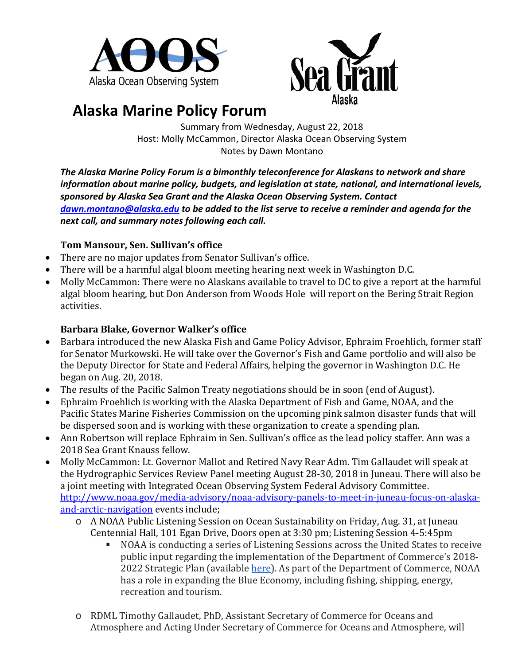



# **Alaska Marine Policy Forum**

Summary from Wednesday, August 22, 2018 Host: Molly McCammon, Director Alaska Ocean Observing System Notes by Dawn Montano

*The Alaska Marine Policy Forum is a bimonthly teleconference for Alaskans to network and share information about marine policy, budgets, and legislation at state, national, and international levels, sponsored by Alaska Sea Grant and the Alaska Ocean Observing System. Contact [dawn.montano@alaska.edu](mailto:dawn.montano@alaska.edu) to be added to the list serve to receive a reminder and agenda for the next call, and summary notes following each call.* 

# **Tom Mansour, Sen. Sullivan's office**

- There are no major updates from Senator Sullivan's office.
- There will be a harmful algal bloom meeting hearing next week in Washington D.C.
- Molly McCammon: There were no Alaskans available to travel to DC to give a report at the harmful algal bloom hearing, but Don Anderson from Woods Hole will report on the Bering Strait Region activities.

# **Barbara Blake, Governor Walker's office**

- Barbara introduced the new Alaska Fish and Game Policy Advisor, Ephraim Froehlich, former staff for Senator Murkowski. He will take over the Governor's Fish and Game portfolio and will also be the Deputy Director for State and Federal Affairs, helping the governor in Washington D.C. He began on Aug. 20, 2018.
- The results of the Pacific Salmon Treaty negotiations should be in soon (end of August).
- Ephraim Froehlich is working with the Alaska Department of Fish and Game, NOAA, and the Pacific States Marine Fisheries Commission on the upcoming pink salmon disaster funds that will be dispersed soon and is working with these organization to create a spending plan.
- Ann Robertson will replace Ephraim in Sen. Sullivan's office as the lead policy staffer. Ann was a 2018 Sea Grant Knauss fellow.
- Molly McCammon: Lt. Governor Mallot and Retired Navy Rear Adm. Tim Gallaudet will speak at the Hydrographic Services Review Panel meeting August 28-30, 2018 in Juneau. There will also be a joint meeting with Integrated Ocean Observing System Federal Advisory Committee. [http://www.noaa.gov/media-advisory/noaa-advisory-panels-to-meet-in-juneau-focus-on-alaska](http://www.noaa.gov/media-advisory/noaa-advisory-panels-to-meet-in-juneau-focus-on-alaska-and-arctic-navigation)[and-arctic-navigation](http://www.noaa.gov/media-advisory/noaa-advisory-panels-to-meet-in-juneau-focus-on-alaska-and-arctic-navigation) events include;
	- o A NOAA Public Listening Session on Ocean Sustainability on Friday, Aug. 31, at Juneau Centennial Hall, [101 Egan Drive,](https://maps.google.com/?q=101+Egan+Drive+Juneau,+AK+99801&entry=gmail&source=g) Doors open at 3:30 pm; Listening Session 4-5:45pm
		- NOAA is conducting a series of Listening Sessions across the United States to receive public input regarding the implementation of the Department of Commerce's 2018 2022 Strategic Plan (available [here\)](https://www.commerce.gov/file/us-department-commerce-2018-2022-strategic-plan). As part of the Department of Commerce, NOAA has a role in expanding the Blue Economy, including fishing, shipping, energy, recreation and tourism.
	- o RDML Timothy Gallaudet, PhD, Assistant Secretary of Commerce for Oceans and Atmosphere and Acting Under Secretary of Commerce for Oceans and Atmosphere, will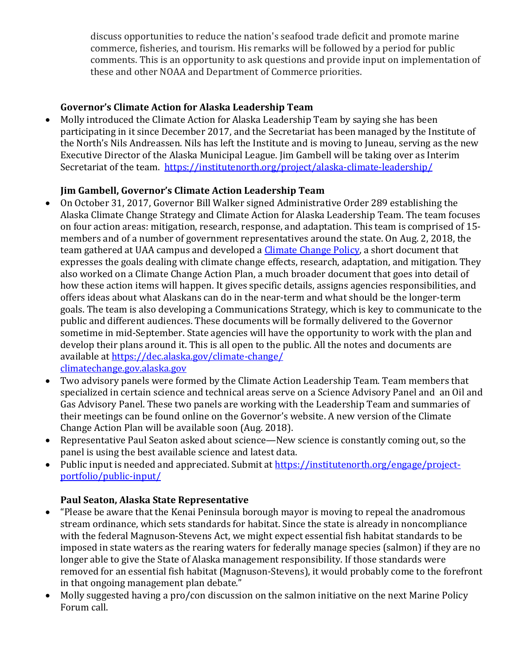discuss opportunities to reduce the nation's seafood trade deficit and promote marine commerce, fisheries, and tourism. His remarks will be followed by a period for public comments. This is an opportunity to ask questions and provide input on implementation of these and other NOAA and Department of Commerce priorities.

## **Governor's Climate Action for Alaska Leadership Team**

• Molly introduced the Climate Action for Alaska Leadership Team by saying she has been participating in it since December 2017, and the Secretariat has been managed by the Institute of the North's Nils Andreassen. Nils has left the Institute and is moving to Juneau, serving as the new Executive Director of the Alaska Municipal League. Jim Gambell will be taking over as Interim Secretariat of the team. <https://institutenorth.org/project/alaska-climate-leadership/>

### **Jim Gambell, Governor's Climate Action Leadership Team**

- On October 31, 2017, Governor Bill Walker signed Administrative Order 289 establishing the Alaska Climate Change Strategy and Climate Action for Alaska Leadership Team. The team focuses on four action areas: mitigation, research, response, and adaptation. This team is comprised of 15 members and of a number of government representatives around the state. On Aug. 2, 2018, the team gathered at UAA campus and developed a [Climate Change Policy,](http://climatechange.gov.alaska.gov/policy/) a short document that expresses the goals dealing with climate change effects, research, adaptation, and mitigation. They also worked on a Climate Change Action Plan, a much broader document that goes into detail of how these action items will happen. It gives specific details, assigns agencies responsibilities, and offers ideas about what Alaskans can do in the near-term and what should be the longer-term goals. The team is also developing a Communications Strategy, which is key to communicate to the public and different audiences. These documents will be formally delivered to the Governor sometime in mid-September. State agencies will have the opportunity to work with the plan and develop their plans around it. This is all open to the public. All the notes and documents are available at <https://dec.alaska.gov/climate-change/> [climatechange.gov.alaska.gov](http://climatechange.gov.alaska.gov/)
- Two advisory panels were formed by the Climate Action Leadership Team. Team members that specialized in certain science and technical areas serve on a Science Advisory Panel and an Oil and Gas Advisory Panel. These two panels are working with the Leadership Team and summaries of their meetings can be found online on the Governor's website. A new version of the Climate Change Action Plan will be available soon (Aug. 2018).
- Representative Paul Seaton asked about science—New science is constantly coming out, so the panel is using the best available science and latest data.
- Public input is needed and appreciated. Submit at [https://institutenorth.org/engage/project](https://institutenorth.org/engage/project-portfolio/public-input/)[portfolio/public-input/](https://institutenorth.org/engage/project-portfolio/public-input/)

# **Paul Seaton, Alaska State Representative**

- "Please be aware that the Kenai Peninsula borough mayor is moving to repeal the anadromous stream ordinance, which sets standards for habitat. Since the state is already in noncompliance with the federal Magnuson-Stevens Act, we might expect essential fish habitat standards to be imposed in state waters as the rearing waters for federally manage species (salmon) if they are no longer able to give the State of Alaska management responsibility. If those standards were removed for an essential fish habitat (Magnuson-Stevens), it would probably come to the forefront in that ongoing management plan debate."
- Molly suggested having a pro/con discussion on the salmon initiative on the next Marine Policy Forum call.